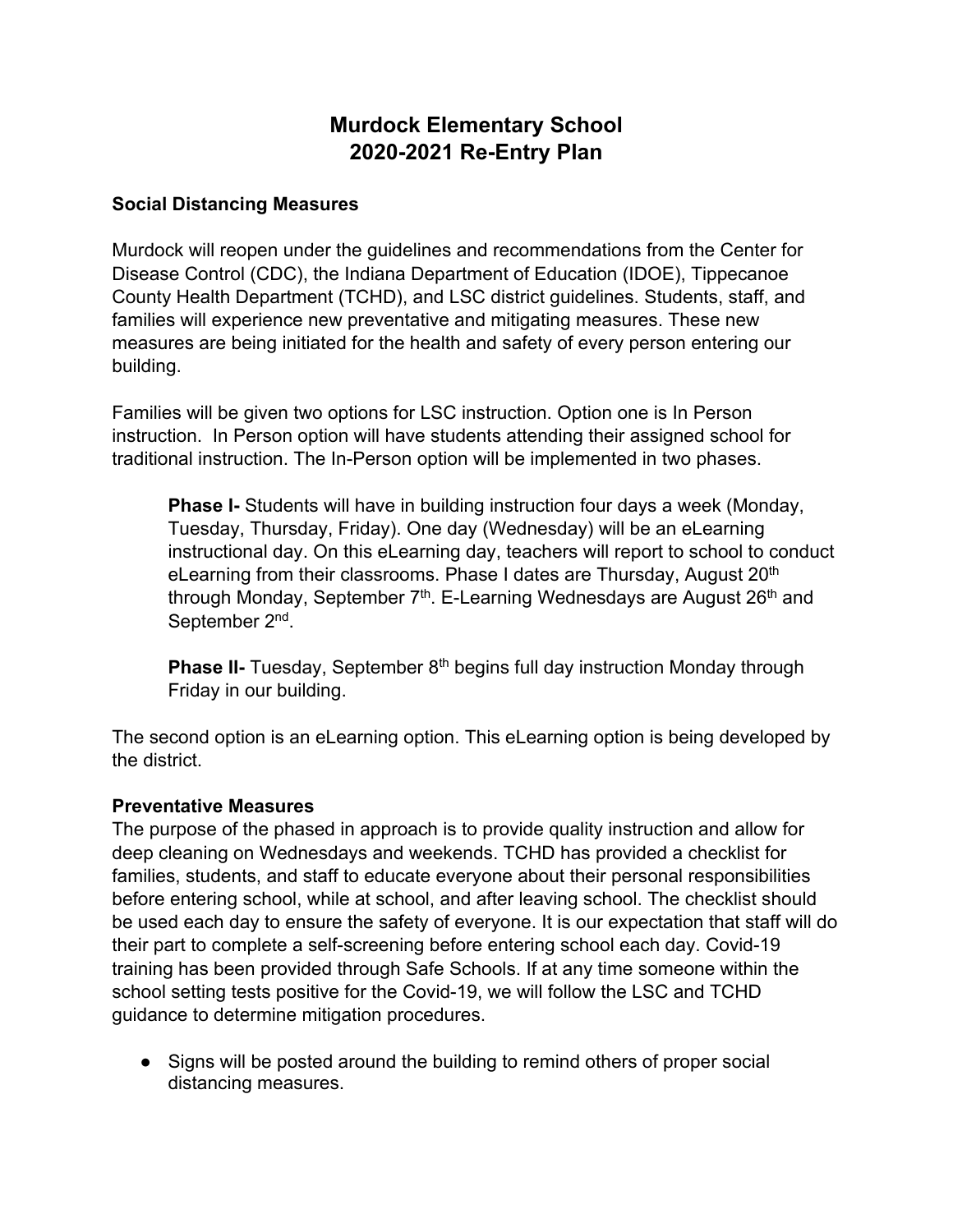# **Murdock Elementary School 2020-2021 Re-Entry Plan**

#### **Social Distancing Measures**

Murdock will reopen under the guidelines and recommendations from the Center for Disease Control (CDC), the Indiana Department of Education (IDOE), Tippecanoe County Health Department (TCHD), and LSC district guidelines. Students, staff, and families will experience new preventative and mitigating measures. These new measures are being initiated for the health and safety of every person entering our building.

Families will be given two options for LSC instruction. Option one is In Person instruction. In Person option will have students attending their assigned school for traditional instruction. The In-Person option will be implemented in two phases.

**Phase I-** Students will have in building instruction four days a week (Monday, Tuesday, Thursday, Friday). One day (Wednesday) will be an eLearning instructional day. On this eLearning day, teachers will report to school to conduct eLearning from their classrooms. Phase I dates are Thursday, August 20<sup>th</sup> through Monday, September  $7<sup>th</sup>$ . E-Learning Wednesdays are August 26<sup>th</sup> and September 2<sup>nd</sup>.

**Phase II-** Tuesday, September 8<sup>th</sup> begins full day instruction Monday through Friday in our building.

The second option is an eLearning option. This eLearning option is being developed by the district.

#### **Preventative Measures**

The purpose of the phased in approach is to provide quality instruction and allow for deep cleaning on Wednesdays and weekends. TCHD has provided a checklist for families, students, and staff to educate everyone about their personal responsibilities before entering school, while at school, and after leaving school. The checklist should be used each day to ensure the safety of everyone. It is our expectation that staff will do their part to complete a self-screening before entering school each day. Covid-19 training has been provided through Safe Schools. If at any time someone within the school setting tests positive for the Covid-19, we will follow the LSC and TCHD guidance to determine mitigation procedures.

• Signs will be posted around the building to remind others of proper social distancing measures.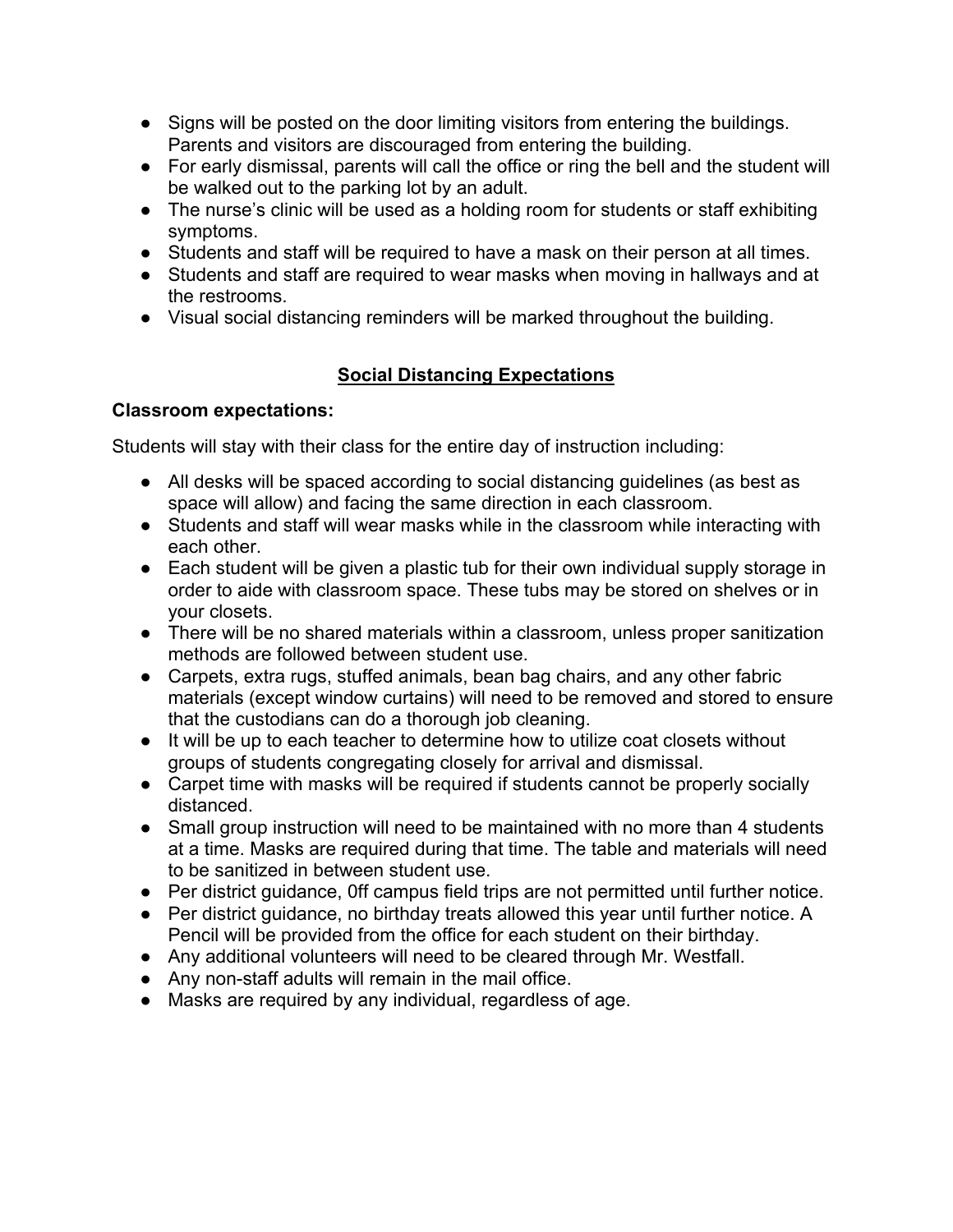- Signs will be posted on the door limiting visitors from entering the buildings. Parents and visitors are discouraged from entering the building.
- For early dismissal, parents will call the office or ring the bell and the student will be walked out to the parking lot by an adult.
- The nurse's clinic will be used as a holding room for students or staff exhibiting symptoms.
- Students and staff will be required to have a mask on their person at all times.
- Students and staff are required to wear masks when moving in hallways and at the restrooms.
- Visual social distancing reminders will be marked throughout the building.

# **Social Distancing Expectations**

# **Classroom expectations:**

Students will stay with their class for the entire day of instruction including:

- All desks will be spaced according to social distancing guidelines (as best as space will allow) and facing the same direction in each classroom.
- Students and staff will wear masks while in the classroom while interacting with each other.
- Each student will be given a plastic tub for their own individual supply storage in order to aide with classroom space. These tubs may be stored on shelves or in your closets.
- There will be no shared materials within a classroom, unless proper sanitization methods are followed between student use.
- Carpets, extra rugs, stuffed animals, bean bag chairs, and any other fabric materials (except window curtains) will need to be removed and stored to ensure that the custodians can do a thorough job cleaning.
- It will be up to each teacher to determine how to utilize coat closets without groups of students congregating closely for arrival and dismissal.
- Carpet time with masks will be required if students cannot be properly socially distanced.
- Small group instruction will need to be maintained with no more than 4 students at a time. Masks are required during that time. The table and materials will need to be sanitized in between student use.
- Per district guidance, 0ff campus field trips are not permitted until further notice.
- Per district guidance, no birthday treats allowed this year until further notice. A Pencil will be provided from the office for each student on their birthday.
- Any additional volunteers will need to be cleared through Mr. Westfall.
- Any non-staff adults will remain in the mail office.
- Masks are required by any individual, regardless of age.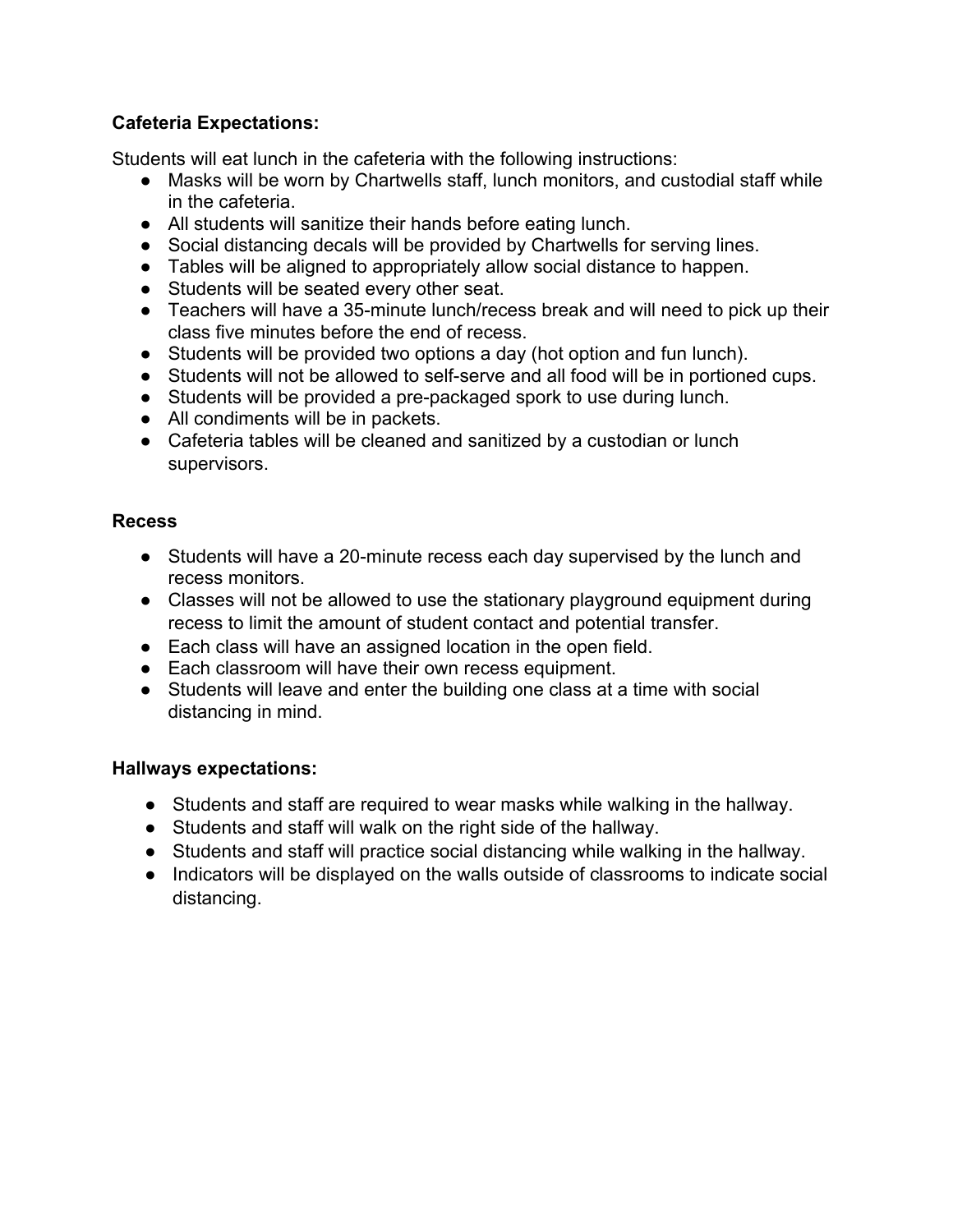# **Cafeteria Expectations:**

Students will eat lunch in the cafeteria with the following instructions:

- Masks will be worn by Chartwells staff, lunch monitors, and custodial staff while in the cafeteria.
- All students will sanitize their hands before eating lunch.
- Social distancing decals will be provided by Chartwells for serving lines.
- Tables will be aligned to appropriately allow social distance to happen.
- Students will be seated every other seat.
- Teachers will have a 35-minute lunch/recess break and will need to pick up their class five minutes before the end of recess.
- Students will be provided two options a day (hot option and fun lunch).
- Students will not be allowed to self-serve and all food will be in portioned cups.
- Students will be provided a pre-packaged spork to use during lunch.
- All condiments will be in packets.
- Cafeteria tables will be cleaned and sanitized by a custodian or lunch supervisors.

# **Recess**

- Students will have a 20-minute recess each day supervised by the lunch and recess monitors.
- Classes will not be allowed to use the stationary playground equipment during recess to limit the amount of student contact and potential transfer.
- Each class will have an assigned location in the open field.
- Each classroom will have their own recess equipment.
- Students will leave and enter the building one class at a time with social distancing in mind.

#### **Hallways expectations:**

- Students and staff are required to wear masks while walking in the hallway.
- Students and staff will walk on the right side of the hallway.
- Students and staff will practice social distancing while walking in the hallway.
- Indicators will be displayed on the walls outside of classrooms to indicate social distancing.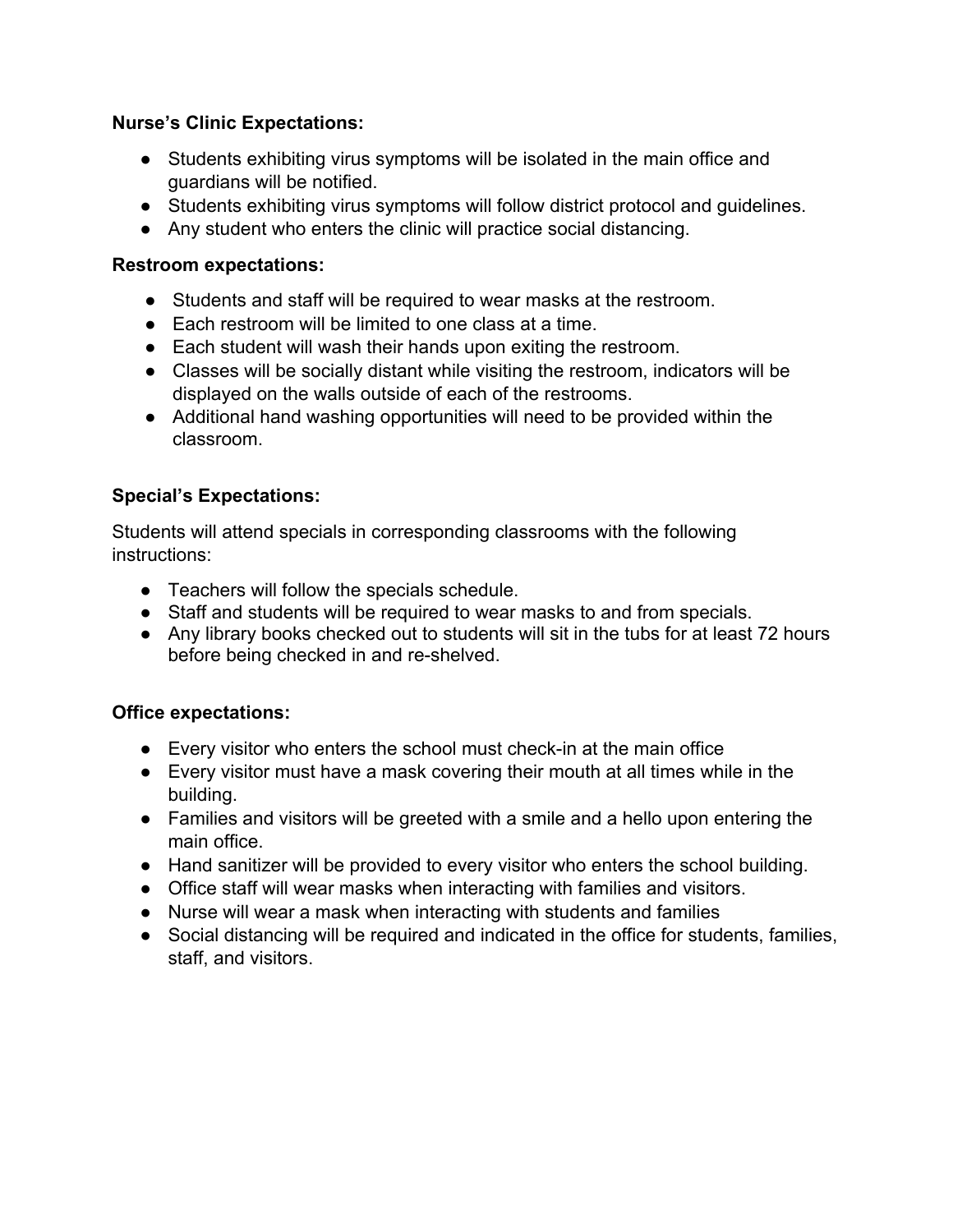#### **Nurse's Clinic Expectations:**

- Students exhibiting virus symptoms will be isolated in the main office and guardians will be notified.
- Students exhibiting virus symptoms will follow district protocol and guidelines.
- Any student who enters the clinic will practice social distancing.

#### **Restroom expectations:**

- Students and staff will be required to wear masks at the restroom.
- Each restroom will be limited to one class at a time.
- Each student will wash their hands upon exiting the restroom.
- Classes will be socially distant while visiting the restroom, indicators will be displayed on the walls outside of each of the restrooms.
- Additional hand washing opportunities will need to be provided within the classroom.

# **Special's Expectations:**

Students will attend specials in corresponding classrooms with the following instructions:

- Teachers will follow the specials schedule.
- Staff and students will be required to wear masks to and from specials.
- Any library books checked out to students will sit in the tubs for at least 72 hours before being checked in and re-shelved.

#### **Office expectations:**

- Every visitor who enters the school must check-in at the main office
- Every visitor must have a mask covering their mouth at all times while in the building.
- Families and visitors will be greeted with a smile and a hello upon entering the main office.
- Hand sanitizer will be provided to every visitor who enters the school building.
- Office staff will wear masks when interacting with families and visitors.
- Nurse will wear a mask when interacting with students and families
- Social distancing will be required and indicated in the office for students, families, staff, and visitors.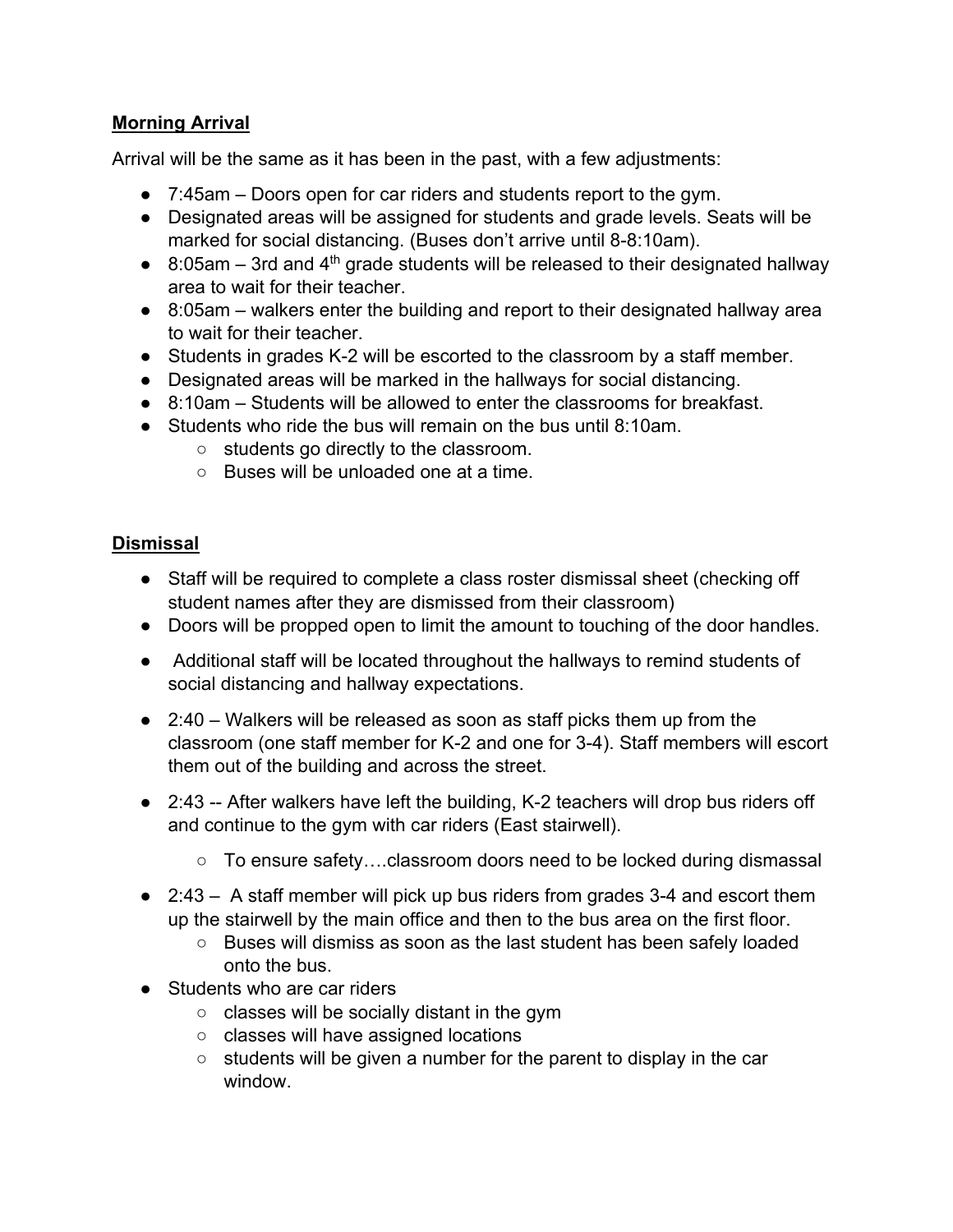### **Morning Arrival**

Arrival will be the same as it has been in the past, with a few adjustments:

- 7:45am Doors open for car riders and students report to the gym.
- Designated areas will be assigned for students and grade levels. Seats will be marked for social distancing. (Buses don't arrive until 8-8:10am).
- $\bullet$  8:05am 3rd and 4<sup>th</sup> grade students will be released to their designated hallway area to wait for their teacher.
- 8:05am walkers enter the building and report to their designated hallway area to wait for their teacher.
- Students in grades K-2 will be escorted to the classroom by a staff member.
- Designated areas will be marked in the hallways for social distancing.
- 8:10am Students will be allowed to enter the classrooms for breakfast.
- Students who ride the bus will remain on the bus until 8:10am.
	- students go directly to the classroom.
	- Buses will be unloaded one at a time.

# **Dismissal**

- Staff will be required to complete a class roster dismissal sheet (checking off student names after they are dismissed from their classroom)
- Doors will be propped open to limit the amount to touching of the door handles.
- Additional staff will be located throughout the hallways to remind students of social distancing and hallway expectations.
- 2:40 Walkers will be released as soon as staff picks them up from the classroom (one staff member for K-2 and one for 3-4). Staff members will escort them out of the building and across the street.
- 2:43 -- After walkers have left the building, K-2 teachers will drop bus riders off and continue to the gym with car riders (East stairwell).
	- $\circ$  To ensure safety....classroom doors need to be locked during dismassal
- $\bullet$  2:43 A staff member will pick up bus riders from grades 3-4 and escort them up the stairwell by the main office and then to the bus area on the first floor.
	- Buses will dismiss as soon as the last student has been safely loaded onto the bus.
- Students who are car riders
	- classes will be socially distant in the gym
	- classes will have assigned locations
	- $\circ$  students will be given a number for the parent to display in the car window.